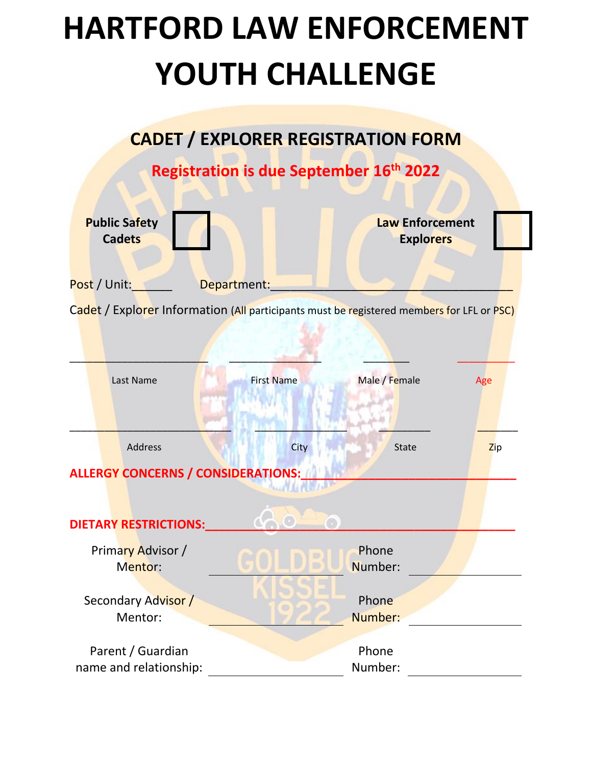## **HARTFORD LAW ENFORCEMENT YOUTH CHALLENGE**